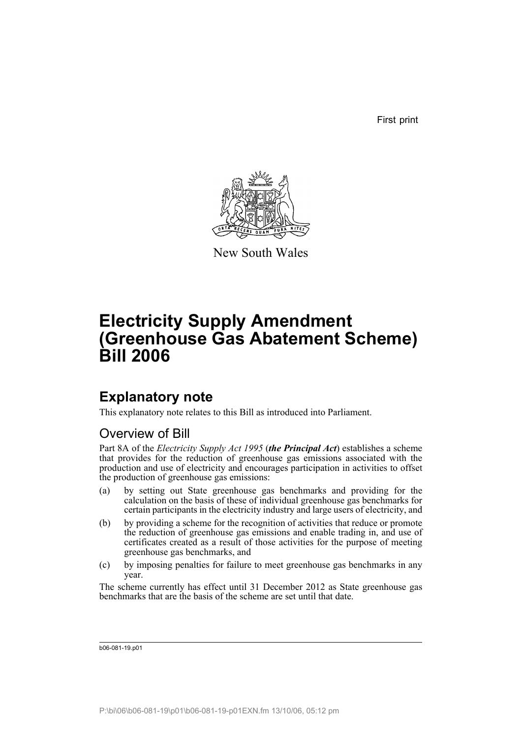First print



New South Wales

# **Electricity Supply Amendment (Greenhouse Gas Abatement Scheme) Bill 2006**

# **Explanatory note**

This explanatory note relates to this Bill as introduced into Parliament.

# Overview of Bill

Part 8A of the *Electricity Supply Act 1995* (*the Principal Act*) establishes a scheme that provides for the reduction of greenhouse gas emissions associated with the production and use of electricity and encourages participation in activities to offset the production of greenhouse gas emissions:

- (a) by setting out State greenhouse gas benchmarks and providing for the calculation on the basis of these of individual greenhouse gas benchmarks for certain participants in the electricity industry and large users of electricity, and
- (b) by providing a scheme for the recognition of activities that reduce or promote the reduction of greenhouse gas emissions and enable trading in, and use of certificates created as a result of those activities for the purpose of meeting greenhouse gas benchmarks, and
- (c) by imposing penalties for failure to meet greenhouse gas benchmarks in any year.

The scheme currently has effect until 31 December 2012 as State greenhouse gas benchmarks that are the basis of the scheme are set until that date.

b06-081-19.p01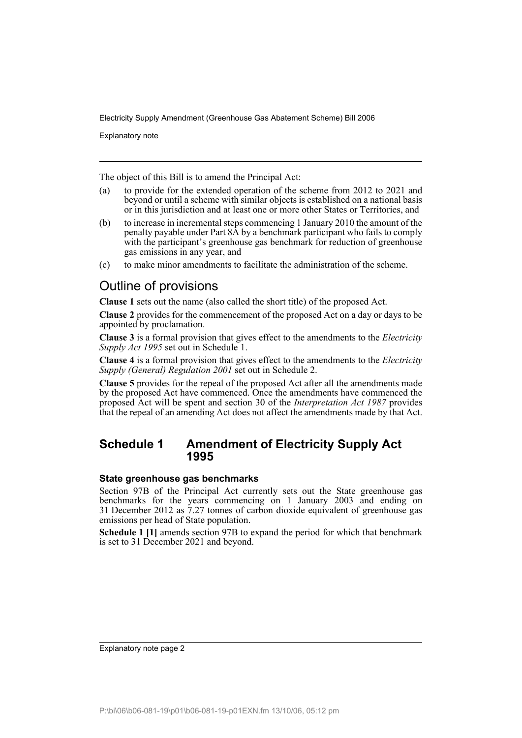Explanatory note

The object of this Bill is to amend the Principal Act:

- (a) to provide for the extended operation of the scheme from 2012 to 2021 and beyond or until a scheme with similar objects is established on a national basis or in this jurisdiction and at least one or more other States or Territories, and
- (b) to increase in incremental steps commencing 1 January 2010 the amount of the penalty payable under Part 8A by a benchmark participant who fails to comply with the participant's greenhouse gas benchmark for reduction of greenhouse gas emissions in any year, and
- (c) to make minor amendments to facilitate the administration of the scheme.

## Outline of provisions

**Clause 1** sets out the name (also called the short title) of the proposed Act.

**Clause 2** provides for the commencement of the proposed Act on a day or days to be appointed by proclamation.

**Clause 3** is a formal provision that gives effect to the amendments to the *Electricity Supply Act 1995* set out in Schedule 1.

**Clause 4** is a formal provision that gives effect to the amendments to the *Electricity Supply (General) Regulation 2001* set out in Schedule 2.

**Clause 5** provides for the repeal of the proposed Act after all the amendments made by the proposed Act have commenced. Once the amendments have commenced the proposed Act will be spent and section 30 of the *Interpretation Act 1987* provides that the repeal of an amending Act does not affect the amendments made by that Act.

## **Schedule 1 Amendment of Electricity Supply Act 1995**

## **State greenhouse gas benchmarks**

Section 97B of the Principal Act currently sets out the State greenhouse gas benchmarks for the years commencing on 1 January 2003 and ending on 31 December 2012 as 7.27 tonnes of carbon dioxide equivalent of greenhouse gas emissions per head of State population.

**Schedule 1 [1]** amends section 97B to expand the period for which that benchmark is set to 31 December 2021 and beyond.

Explanatory note page 2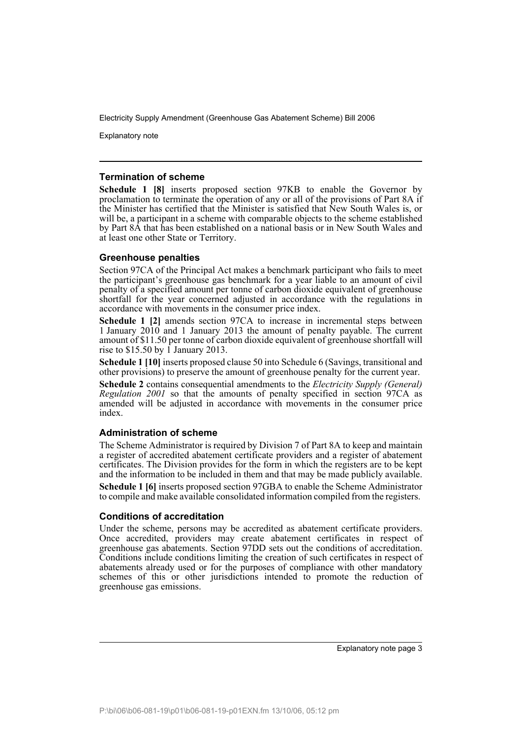Explanatory note

## **Termination of scheme**

**Schedule 1 [8]** inserts proposed section 97KB to enable the Governor by proclamation to terminate the operation of any or all of the provisions of Part 8A if the Minister has certified that the Minister is satisfied that New South Wales is, or will be, a participant in a scheme with comparable objects to the scheme established by Part 8A that has been established on a national basis or in New South Wales and at least one other State or Territory.

## **Greenhouse penalties**

Section 97CA of the Principal Act makes a benchmark participant who fails to meet the participant's greenhouse gas benchmark for a year liable to an amount of civil penalty of a specified amount per tonne of carbon dioxide equivalent of greenhouse shortfall for the year concerned adjusted in accordance with the regulations in accordance with movements in the consumer price index.

**Schedule 1 [2]** amends section 97CA to increase in incremental steps between 1 January 2010 and 1 January 2013 the amount of penalty payable. The current amount of \$11.50 per tonne of carbon dioxide equivalent of greenhouse shortfall will rise to  $$15.50$  by 1 January 2013.

**Schedule 1 [10]** inserts proposed clause 50 into Schedule 6 (Savings, transitional and other provisions) to preserve the amount of greenhouse penalty for the current year.

**Schedule 2** contains consequential amendments to the *Electricity Supply (General) Regulation 2001* so that the amounts of penalty specified in section 97CA as amended will be adjusted in accordance with movements in the consumer price index.

## **Administration of scheme**

The Scheme Administrator is required by Division 7 of Part 8A to keep and maintain a register of accredited abatement certificate providers and a register of abatement certificates. The Division provides for the form in which the registers are to be kept and the information to be included in them and that may be made publicly available. **Schedule 1 [6]** inserts proposed section 97GBA to enable the Scheme Administrator to compile and make available consolidated information compiled from the registers.

## **Conditions of accreditation**

Under the scheme, persons may be accredited as abatement certificate providers. Once accredited, providers may create abatement certificates in respect of greenhouse gas abatements. Section 97DD sets out the conditions of accreditation. Conditions include conditions limiting the creation of such certificates in respect of abatements already used or for the purposes of compliance with other mandatory schemes of this or other jurisdictions intended to promote the reduction of greenhouse gas emissions.

Explanatory note page 3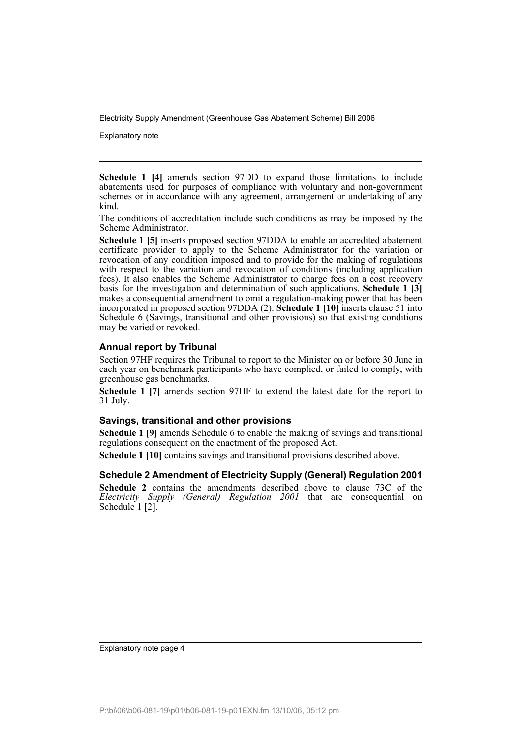Explanatory note

**Schedule 1 [4]** amends section 97DD to expand those limitations to include abatements used for purposes of compliance with voluntary and non-government schemes or in accordance with any agreement, arrangement or undertaking of any kind.

The conditions of accreditation include such conditions as may be imposed by the Scheme Administrator.

**Schedule 1 [5]** inserts proposed section 97DDA to enable an accredited abatement certificate provider to apply to the Scheme Administrator for the variation or revocation of any condition imposed and to provide for the making of regulations with respect to the variation and revocation of conditions (including application fees). It also enables the Scheme Administrator to charge fees on a cost recovery basis for the investigation and determination of such applications. **Schedule 1 [3]** makes a consequential amendment to omit a regulation-making power that has been incorporated in proposed section 97DDA (2). **Schedule 1 [10]** inserts clause 51 into Schedule 6 (Savings, transitional and other provisions) so that existing conditions may be varied or revoked.

## **Annual report by Tribunal**

Section 97HF requires the Tribunal to report to the Minister on or before 30 June in each year on benchmark participants who have complied, or failed to comply, with greenhouse gas benchmarks.

**Schedule 1 [7]** amends section 97HF to extend the latest date for the report to 31 July.

## **Savings, transitional and other provisions**

**Schedule 1 [9]** amends Schedule 6 to enable the making of savings and transitional regulations consequent on the enactment of the proposed Act.

**Schedule 1 [10]** contains savings and transitional provisions described above.

## **Schedule 2 Amendment of Electricity Supply (General) Regulation 2001**

**Schedule 2** contains the amendments described above to clause 73C of the *Electricity Supply (General) Regulation 2001* that are consequential on Schedule 1 [2].

Explanatory note page 4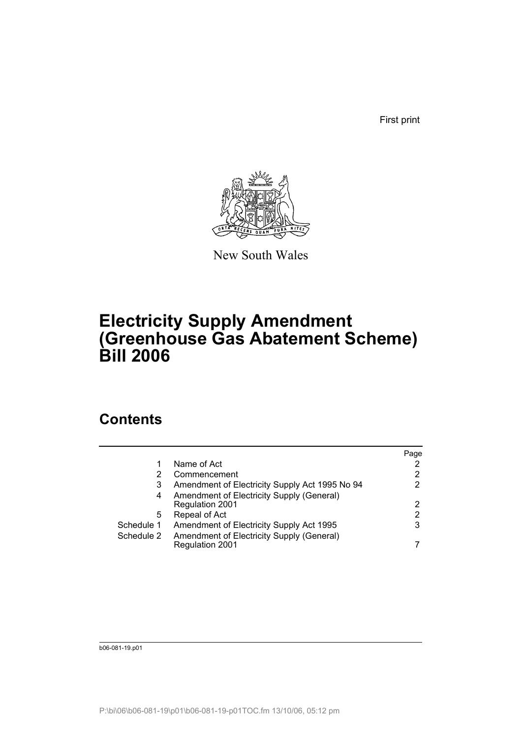First print



New South Wales

# **Electricity Supply Amendment (Greenhouse Gas Abatement Scheme) Bill 2006**

# **Contents**

|            |                                                | Page |
|------------|------------------------------------------------|------|
|            | Name of Act                                    |      |
| 2          | Commencement                                   | 2    |
| 3          | Amendment of Electricity Supply Act 1995 No 94 | 2    |
| 4          | Amendment of Electricity Supply (General)      |      |
|            | <b>Regulation 2001</b>                         | 2    |
| 5          | Repeal of Act                                  | 2    |
| Schedule 1 | Amendment of Electricity Supply Act 1995       | 3    |
| Schedule 2 | Amendment of Electricity Supply (General)      |      |
|            | Regulation 2001                                |      |

b06-081-19.p01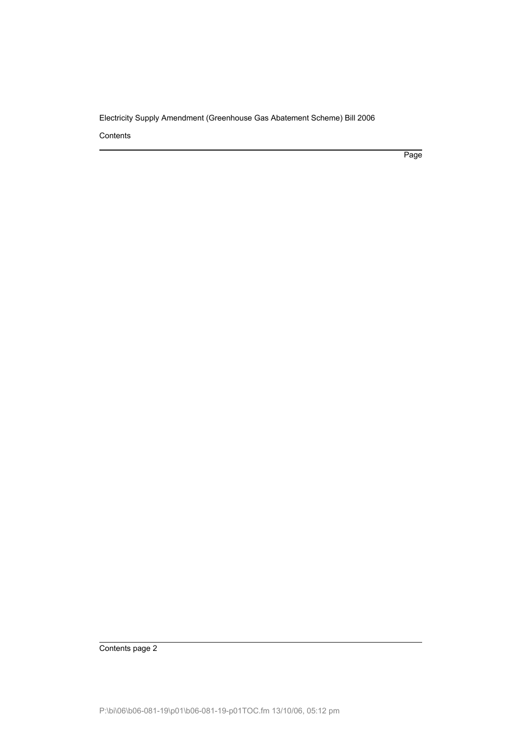Contents

Page

Contents page 2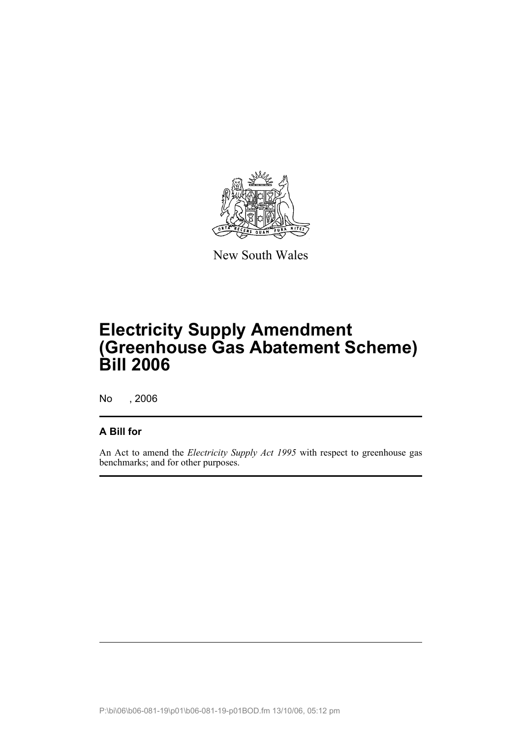

New South Wales

# **Electricity Supply Amendment (Greenhouse Gas Abatement Scheme) Bill 2006**

No , 2006

## **A Bill for**

An Act to amend the *Electricity Supply Act 1995* with respect to greenhouse gas benchmarks; and for other purposes.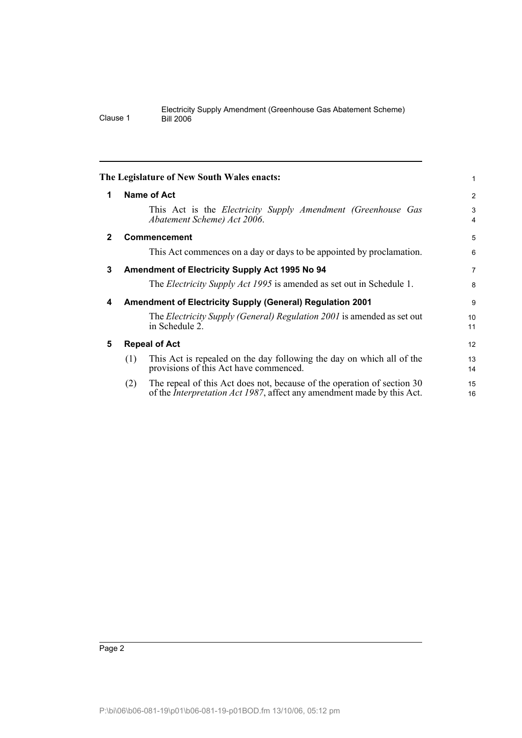<span id="page-7-4"></span><span id="page-7-3"></span><span id="page-7-2"></span><span id="page-7-1"></span><span id="page-7-0"></span>

|              | The Legislature of New South Wales enacts:                                                                                                                       | 1              |
|--------------|------------------------------------------------------------------------------------------------------------------------------------------------------------------|----------------|
| 1            | <b>Name of Act</b>                                                                                                                                               | $\overline{2}$ |
|              | This Act is the <i>Electricity Supply Amendment (Greenhouse Gas</i><br>Abatement Scheme) Act 2006.                                                               | 3<br>4         |
| $\mathbf{2}$ | <b>Commencement</b>                                                                                                                                              | 5              |
|              | This Act commences on a day or days to be appointed by proclamation.                                                                                             | 6              |
| 3            | Amendment of Electricity Supply Act 1995 No 94                                                                                                                   | 7              |
|              | The <i>Electricity Supply Act 1995</i> is amended as set out in Schedule 1.                                                                                      | 8              |
| 4            | <b>Amendment of Electricity Supply (General) Regulation 2001</b>                                                                                                 | 9              |
|              | The <i>Electricity Supply (General) Regulation 2001</i> is amended as set out<br>in Schedule 2.                                                                  | 10<br>11       |
| 5            | <b>Repeal of Act</b>                                                                                                                                             | 12             |
|              | This Act is repealed on the day following the day on which all of the<br>(1)<br>provisions of this Act have commenced.                                           | 13<br>14       |
|              | The repeal of this Act does not, because of the operation of section 30<br>(2)<br>of the <i>Interpretation Act 1987</i> , affect any amendment made by this Act. | 15<br>16       |
|              |                                                                                                                                                                  |                |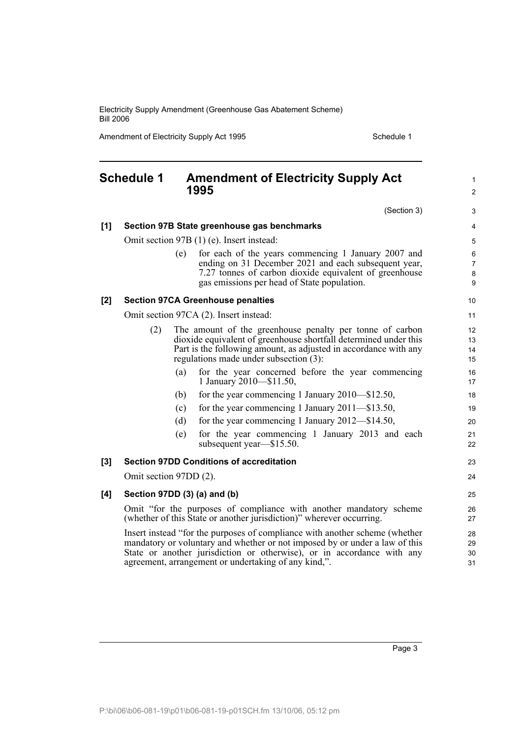Amendment of Electricity Supply Act 1995 Schedule 1

#### <span id="page-8-0"></span>**Schedule 1 Amendment of Electricity Supply Act 1995** (Section 3) **[1] Section 97B State greenhouse gas benchmarks** Omit section 97B (1) (e). Insert instead: (e) for each of the years commencing 1 January 2007 and ending on 31 December 2021 and each subsequent year, 7.27 tonnes of carbon dioxide equivalent of greenhouse gas emissions per head of State population. **[2] Section 97CA Greenhouse penalties** Omit section 97CA (2). Insert instead: (2) The amount of the greenhouse penalty per tonne of carbon dioxide equivalent of greenhouse shortfall determined under this Part is the following amount, as adjusted in accordance with any regulations made under subsection (3): (a) for the year concerned before the year commencing 1 January 2010—\$11.50, (b) for the year commencing 1 January 2010—\$12.50, (c) for the year commencing 1 January 2011—\$13.50, (d) for the year commencing 1 January 2012—\$14.50, (e) for the year commencing 1 January 2013 and each subsequent year—\$15.50. **[3] Section 97DD Conditions of accreditation** Omit section 97DD (2). **[4] Section 97DD (3) (a) and (b)** Omit "for the purposes of compliance with another mandatory scheme (whether of this State or another jurisdiction)" wherever occurring. Insert instead "for the purposes of compliance with another scheme (whether mandatory or voluntary and whether or not imposed by or under a law of this State or another jurisdiction or otherwise), or in accordance with any agreement, arrangement or undertaking of any kind,". 1  $\mathfrak{p}$ 3 4 5 6 7 8 9 10 11 12 13 14 15 16 17 18 19 20 21 22 23  $24$ 25 26 27 28 29 30 31

Page 3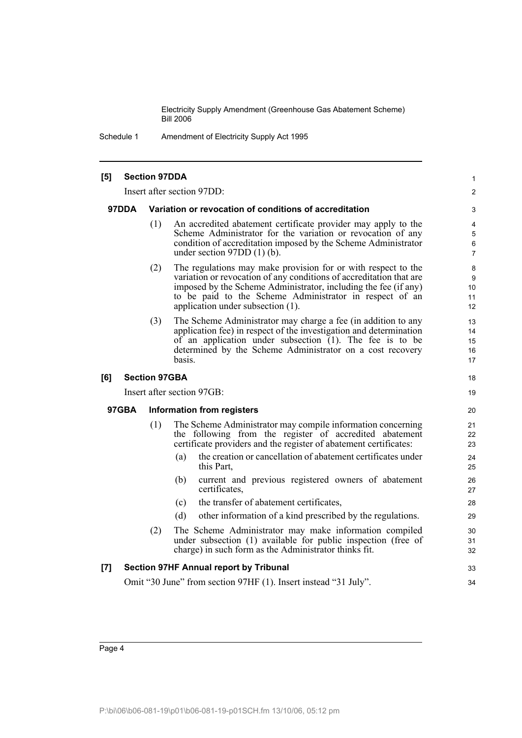Schedule 1 Amendment of Electricity Supply Act 1995

#### **[5] Section 97DDA** Insert after section 97DD: **97DDA Variation or revocation of conditions of accreditation** (1) An accredited abatement certificate provider may apply to the Scheme Administrator for the variation or revocation of any condition of accreditation imposed by the Scheme Administrator under section 97DD (1) (b). (2) The regulations may make provision for or with respect to the variation or revocation of any conditions of accreditation that are imposed by the Scheme Administrator, including the fee (if any) to be paid to the Scheme Administrator in respect of an application under subsection (1). (3) The Scheme Administrator may charge a fee (in addition to any application fee) in respect of the investigation and determination of an application under subsection (1). The fee is to be determined by the Scheme Administrator on a cost recovery basis. **[6] Section 97GBA** Insert after section 97GB: **97GBA Information from registers** (1) The Scheme Administrator may compile information concerning the following from the register of accredited abatement certificate providers and the register of abatement certificates: (a) the creation or cancellation of abatement certificates under this Part, (b) current and previous registered owners of abatement certificates, (c) the transfer of abatement certificates, (d) other information of a kind prescribed by the regulations. (2) The Scheme Administrator may make information compiled under subsection (1) available for public inspection (free of charge) in such form as the Administrator thinks fit. **[7] Section 97HF Annual report by Tribunal** Omit "30 June" from section 97HF (1). Insert instead "31 July". 1  $\mathfrak{p}$ 3 4 5 6 7 8 9 10 11 12 13 14 15 16 17 18 19 20 21 22 23 24 25 26 27 28 29 30 31 32 33 34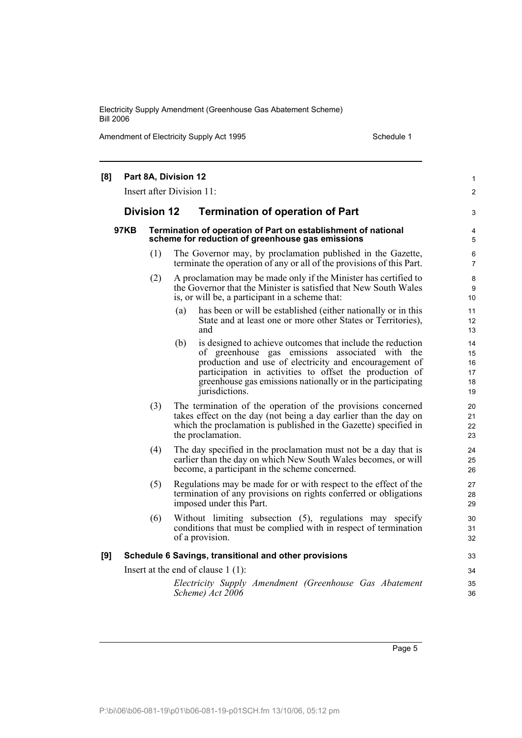Amendment of Electricity Supply Act 1995 Schedule 1

| [8]                                  | Part 8A, Division 12<br>Insert after Division 11:             |     |                                                                                                                                                                                                                                                                                                                            |                                  |
|--------------------------------------|---------------------------------------------------------------|-----|----------------------------------------------------------------------------------------------------------------------------------------------------------------------------------------------------------------------------------------------------------------------------------------------------------------------------|----------------------------------|
|                                      | <b>Division 12</b><br><b>Termination of operation of Part</b> |     |                                                                                                                                                                                                                                                                                                                            |                                  |
|                                      | <b>97KB</b>                                                   |     | Termination of operation of Part on establishment of national<br>scheme for reduction of greenhouse gas emissions                                                                                                                                                                                                          | 3<br>4<br>5                      |
|                                      |                                                               | (1) | The Governor may, by proclamation published in the Gazette,<br>terminate the operation of any or all of the provisions of this Part.                                                                                                                                                                                       | 6<br>$\overline{7}$              |
|                                      |                                                               | (2) | A proclamation may be made only if the Minister has certified to<br>the Governor that the Minister is satisfied that New South Wales<br>is, or will be, a participant in a scheme that:                                                                                                                                    | 8<br>9<br>10                     |
|                                      |                                                               |     | has been or will be established (either nationally or in this<br>(a)<br>State and at least one or more other States or Territories),<br>and                                                                                                                                                                                | 11<br>12<br>13                   |
|                                      |                                                               |     | (b)<br>is designed to achieve outcomes that include the reduction<br>of greenhouse gas emissions associated with the<br>production and use of electricity and encouragement of<br>participation in activities to offset the production of<br>greenhouse gas emissions nationally or in the participating<br>jurisdictions. | 14<br>15<br>16<br>17<br>18<br>19 |
|                                      |                                                               | (3) | The termination of the operation of the provisions concerned<br>takes effect on the day (not being a day earlier than the day on<br>which the proclamation is published in the Gazette) specified in<br>the proclamation.                                                                                                  | 20<br>21<br>22<br>23             |
|                                      |                                                               | (4) | The day specified in the proclamation must not be a day that is<br>earlier than the day on which New South Wales becomes, or will<br>become, a participant in the scheme concerned.                                                                                                                                        | 24<br>25<br>26                   |
|                                      |                                                               | (5) | Regulations may be made for or with respect to the effect of the<br>termination of any provisions on rights conferred or obligations<br>imposed under this Part.                                                                                                                                                           | 27<br>28<br>29                   |
|                                      |                                                               | (6) | Without limiting subsection (5), regulations may specify<br>conditions that must be complied with in respect of termination<br>of a provision.                                                                                                                                                                             | 30<br>31<br>32                   |
| [9]                                  |                                                               |     | Schedule 6 Savings, transitional and other provisions                                                                                                                                                                                                                                                                      | 33                               |
| Insert at the end of clause $1(1)$ : |                                                               |     |                                                                                                                                                                                                                                                                                                                            |                                  |
|                                      |                                                               |     | Electricity Supply Amendment (Greenhouse Gas Abatement<br>Scheme) Act 2006                                                                                                                                                                                                                                                 | 35<br>36                         |

Page 5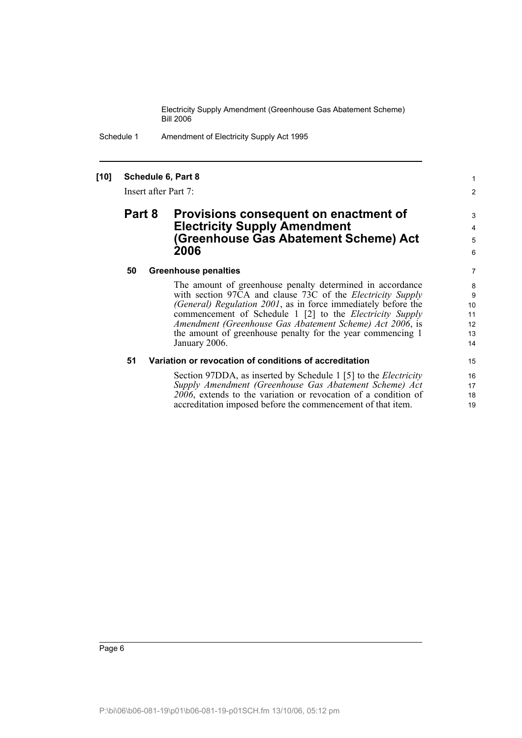Schedule 1 Amendment of Electricity Supply Act 1995

## **[10] Schedule 6, Part 8**

Insert after Part 7:

## **Part 8 Provisions consequent on enactment of Electricity Supply Amendment (Greenhouse Gas Abatement Scheme) Act 2006**

#### **50 Greenhouse penalties**

The amount of greenhouse penalty determined in accordance with section 97CA and clause 73C of the *Electricity Supply (General) Regulation 2001*, as in force immediately before the commencement of Schedule 1 [2] to the *Electricity Supply Amendment (Greenhouse Gas Abatement Scheme) Act 2006*, is the amount of greenhouse penalty for the year commencing 1 January 2006.

1 2

## **51 Variation or revocation of conditions of accreditation**

Section 97DDA, as inserted by Schedule 1 [5] to the *Electricity Supply Amendment (Greenhouse Gas Abatement Scheme) Act 2006*, extends to the variation or revocation of a condition of accreditation imposed before the commencement of that item.